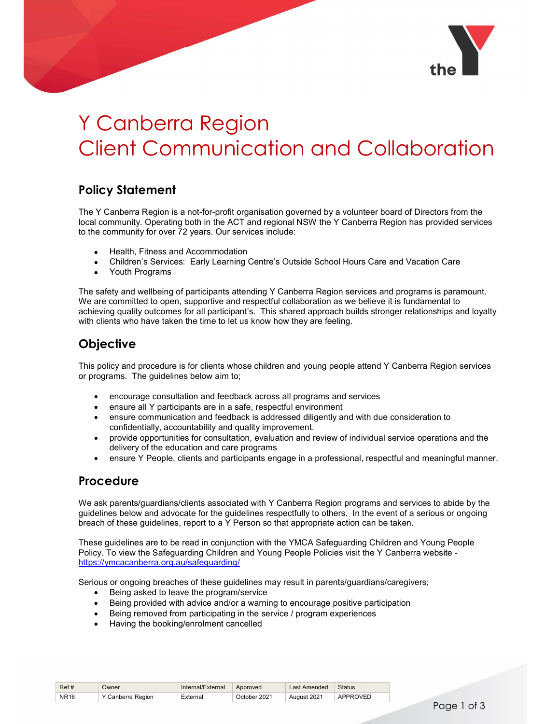

# Y Canberra Region Client Communication and Collaboration

## Policy Statement

The Y Canberra Region is a not-for-profit organisation governed by a volunteer board of Directors from the local community. Operating both in the ACT and regional NSW the Y Canberra Region has provided services to the community for over 72 years. Our services include:

- Health, Fitness and Accommodation
- Children's Services: Early Learning Centre's Outside School Hours Care and Vacation Care
- Youth Programs

The safety and wellbeing of participants attending Y Canberra Region services and programs is paramount. We are committed to open, supportive and respectful collaboration as we believe it is fundamental to achieving quality outcomes for all participant's. This shared approach builds stronger relationships and loyalty with clients who have taken the time to let us know how they are feeling.

## **Objective**

This policy and procedure is for clients whose children and young people attend Y Canberra Region services or programs. The guidelines below aim to;

- encourage consultation and feedback across all programs and services
- ensure all Y participants are in a safe, respectful environment
- ensure communication and feedback is addressed diligently and with due consideration to confidentially, accountability and quality improvement.
- provide opportunities for consultation, evaluation and review of individual service operations and the delivery of the education and care programs
- ensure Y People, clients and participants engage in a professional, respectful and meaningful manner.

#### Procedure

We ask parents/guardians/clients associated with Y Canberra Region programs and services to abide by the guidelines below and advocate for the guidelines respectfully to others. In the event of a serious or ongoing breach of these guidelines, report to a Y Person so that appropriate action can be taken.

These guidelines are to be read in conjunction with the YMCA Safeguarding Children and Young People Policy. To view the Safeguarding Children and Young People Policies visit the Y Canberra website https://ymcacanberra.org.au/safeguarding/

Serious or ongoing breaches of these guidelines may result in parents/guardians/caregivers;

- Being asked to leave the program/service
- Being provided with advice and/or a warning to encourage positive participation
- Being removed from participating in the service / program experiences
- Having the booking/enrolment cancelled

| Ref#        | <b>Jwner</b>      | Internal/External | Approved     | Last Amended | <b>Status</b> |
|-------------|-------------------|-------------------|--------------|--------------|---------------|
| <b>NR16</b> | ' Canberra Region | External          | October 2021 | August 2021  | APPROVED      |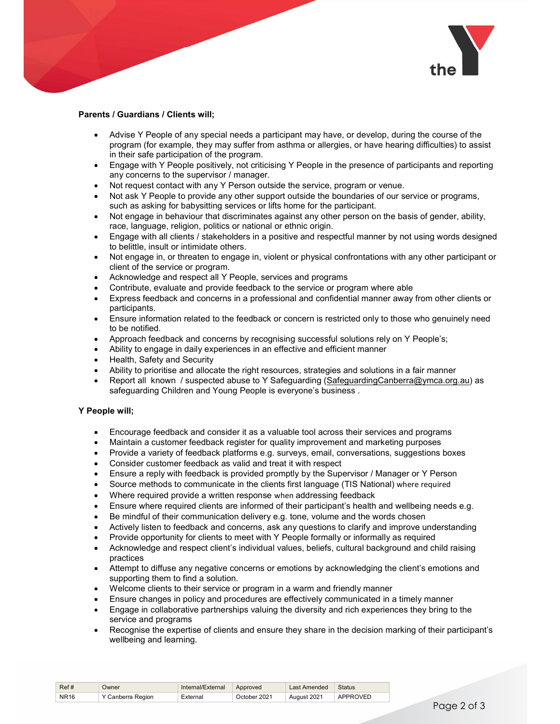

#### Parents / Guardians / Clients will;

- Advise Y People of any special needs a participant may have, or develop, during the course of the program (for example, they may suffer from asthma or allergies, or have hearing difficulties) to assist in their safe participation of the program.
- Engage with Y People positively, not criticising Y People in the presence of participants and reporting any concerns to the supervisor / manager.
- Not request contact with any Y Person outside the service, program or venue.
- Not ask Y People to provide any other support outside the boundaries of our service or programs, such as asking for babysitting services or lifts home for the participant.
- Not engage in behaviour that discriminates against any other person on the basis of gender, ability, race, language, religion, politics or national or ethnic origin.
- Engage with all clients / stakeholders in a positive and respectful manner by not using words designed to belittle, insult or intimidate others.
- Not engage in, or threaten to engage in, violent or physical confrontations with any other participant or client of the service or program.
- Acknowledge and respect all Y People, services and programs
- Contribute, evaluate and provide feedback to the service or program where able
- Express feedback and concerns in a professional and confidential manner away from other clients or participants.
- Ensure information related to the feedback or concern is restricted only to those who genuinely need to be notified.
- Approach feedback and concerns by recognising successful solutions rely on Y People's;
- Ability to engage in daily experiences in an effective and efficient manner
- Health, Safety and Security
- Ability to prioritise and allocate the right resources, strategies and solutions in a fair manner
- Report all known / suspected abuse to Y Safeguarding (SafeguardingCanberra@ymca.org.au) as safeguarding Children and Young People is everyone's business .

#### Y People will;

- Encourage feedback and consider it as a valuable tool across their services and programs
- Maintain a customer feedback register for quality improvement and marketing purposes
- Provide a variety of feedback platforms e.g. surveys, email, conversations, suggestions boxes
- Consider customer feedback as valid and treat it with respect
- Ensure a reply with feedback is provided promptly by the Supervisor / Manager or Y Person
- Source methods to communicate in the clients first language (TIS National) where required
- Where required provide a written response when addressing feedback
- Ensure where required clients are informed of their participant's health and wellbeing needs e.g.
- Be mindful of their communication delivery e.g. tone, volume and the words chosen
- Actively listen to feedback and concerns, ask any questions to clarify and improve understanding
- Provide opportunity for clients to meet with Y People formally or informally as required
- Acknowledge and respect client's individual values, beliefs, cultural background and child raising practices
- Attempt to diffuse any negative concerns or emotions by acknowledging the client's emotions and supporting them to find a solution.
- Welcome clients to their service or program in a warm and friendly manner
- Ensure changes in policy and procedures are effectively communicated in a timely manner
- Engage in collaborative partnerships valuing the diversity and rich experiences they bring to the service and programs
- Recognise the expertise of clients and ensure they share in the decision marking of their participant's wellbeing and learning.

| Ref#        | Jwner             | Internal/External | Approved     | Last Amended | <b>Status</b> |
|-------------|-------------------|-------------------|--------------|--------------|---------------|
| <b>NR16</b> | Y Canberra Region | External          | October 2021 | August 2021  | APPROVED      |